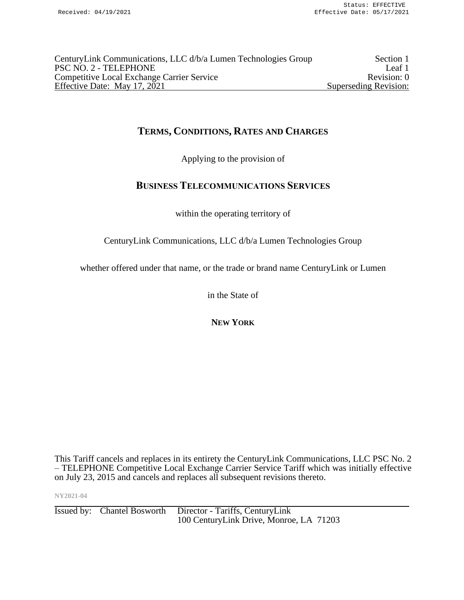| CenturyLink Communications, LLC d/b/a Lumen Technologies Group | Section 1             |
|----------------------------------------------------------------|-----------------------|
| PSC NO. 2 - TELEPHONE                                          | Leaf 1                |
| <b>Competitive Local Exchange Carrier Service</b>              | Revision: 0           |
| Effective Date: May 17, 2021                                   | Superseding Revision: |

# **TERMS, CONDITIONS, RATES AND CHARGES**

Applying to the provision of

# **BUSINESS TELECOMMUNICATIONS SERVICES**

within the operating territory of

CenturyLink Communications, LLC d/b/a Lumen Technologies Group

whether offered under that name, or the trade or brand name CenturyLink or Lumen

in the State of

**NEW YORK**

This Tariff cancels and replaces in its entirety the CenturyLink Communications, LLC PSC No. 2 – TELEPHONE Competitive Local Exchange Carrier Service Tariff which was initially effective on July 23, 2015 and cancels and replaces all subsequent revisions thereto.

**NY2021-04**

Issued by: Chantel Bosworth Director - Tariffs, CenturyLink 100 CenturyLink Drive, Monroe, LA 71203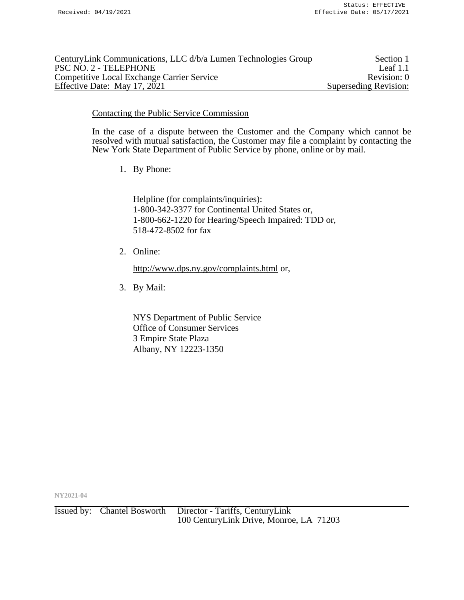| CenturyLink Communications, LLC d/b/a Lumen Technologies Group | Section 1             |
|----------------------------------------------------------------|-----------------------|
| PSC NO. 2 - TELEPHONE                                          | Leaf $1.1$            |
| <b>Competitive Local Exchange Carrier Service</b>              | Revision: 0           |
| Effective Date: May 17, 2021                                   | Superseding Revision: |

### Contacting the Public Service Commission

In the case of a dispute between the Customer and the Company which cannot be resolved with mutual satisfaction, the Customer may file a complaint by contacting the New York State Department of Public Service by phone, online or by mail.

1. By Phone:

Helpline (for complaints/inquiries): 1-800-342-3377 for Continental United States or, 1-800-662-1220 for Hearing/Speech Impaired: TDD or, 518-472-8502 for fax

2. Online:

<http://www.dps.ny.gov/complaints.html> or,

3. By Mail:

NYS Department of Public Service Office of Consumer Services 3 Empire State Plaza Albany, NY 12223-1350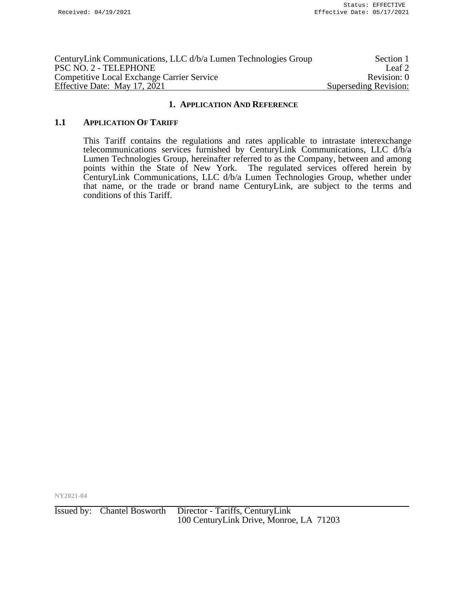| CenturyLink Communications, LLC d/b/a Lumen Technologies Group | Section 1             |
|----------------------------------------------------------------|-----------------------|
| PSC NO. 2 - TELEPHONE                                          | Leaf <sub>2</sub>     |
| <b>Competitive Local Exchange Carrier Service</b>              | Revision: 0           |
| Effective Date: May 17, 2021                                   | Superseding Revision: |

#### **1.1 APPLICATION OF TARIFF**

This Tariff contains the regulations and rates applicable to intrastate interexchange telecommunications services furnished by CenturyLink Communications, LLC d/b/a Lumen Technologies Group, hereinafter referred to as the Company, between and among points within the State of New York. The regulated services offered herein by CenturyLink Communications, LLC d/b/a Lumen Technologies Group, whether under that name, or the trade or brand name CenturyLink, are subject to the terms and conditions of this Tariff.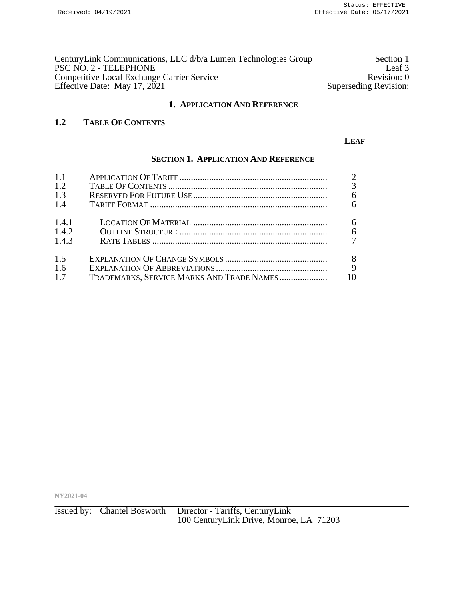| CenturyLink Communications, LLC d/b/a Lumen Technologies Group | Section 1             |
|----------------------------------------------------------------|-----------------------|
| PSC NO. 2 - TELEPHONE                                          | Leaf 3                |
| <b>Competitive Local Exchange Carrier Service</b>              | Revision: 0           |
| Effective Date: May 17, 2021                                   | Superseding Revision: |

# **1.2 TABLE OF CONTENTS**

#### **LEAF**

# **SECTION 1. APPLICATION AND REFERENCE**

| 1.1   |                                           | $\overline{2}$ |
|-------|-------------------------------------------|----------------|
| 1.2   |                                           | 3              |
| 1.3   |                                           | 6              |
| 1.4   |                                           | 6              |
| 1.4.1 |                                           | 6              |
| 1.4.2 |                                           | 6              |
| 1.4.3 |                                           | $\overline{7}$ |
| 1.5   |                                           | 8              |
| 1.6   |                                           | 9              |
| 1.7   | TRADEMARKS, SERVICE MARKS AND TRADE NAMES | 10             |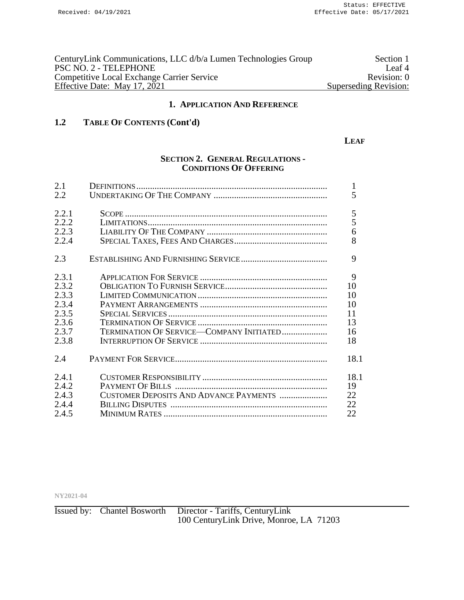| CenturyLink Communications, LLC d/b/a Lumen Technologies Group | Section 1             |
|----------------------------------------------------------------|-----------------------|
| PSC NO. 2 - TELEPHONE                                          | Leaf <sup>4</sup>     |
| <b>Competitive Local Exchange Carrier Service</b>              | Revision: 0           |
| Effective Date: May 17, 2021                                   | Superseding Revision: |

# **1.2 TABLE OF CONTENTS (Cont'd)**

#### **LEAF**

## **SECTION 2. GENERAL REGULATIONS - CONDITIONS OF OFFERING**

| 2.1<br>2.2 |                                          | 1<br>5 |
|------------|------------------------------------------|--------|
|            |                                          |        |
| 2.2.1      |                                          | 5      |
| 2.2.2      |                                          | 5      |
| 2.2.3      |                                          | 6      |
| 2.2.4      |                                          | 8      |
| 2.3        |                                          | 9      |
| 2.3.1      |                                          | 9      |
| 2.3.2      |                                          | 10     |
| 2.3.3      |                                          | 10     |
| 2.3.4      |                                          | 10     |
| 2.3.5      |                                          | 11     |
| 2.3.6      |                                          | 13     |
| 2.3.7      | TERMINATION OF SERVICE-COMPANY INITIATED | 16     |
| 2.3.8      |                                          | 18     |
| 2.4        |                                          | 18.1   |
| 2.4.1      |                                          | 18.1   |
| 2.4.2      |                                          | 19     |
| 2.4.3      | CUSTOMER DEPOSITS AND ADVANCE PAYMENTS   | 22     |
| 2.4.4      |                                          | 22     |
| 2.4.5      |                                          | 22     |
|            |                                          |        |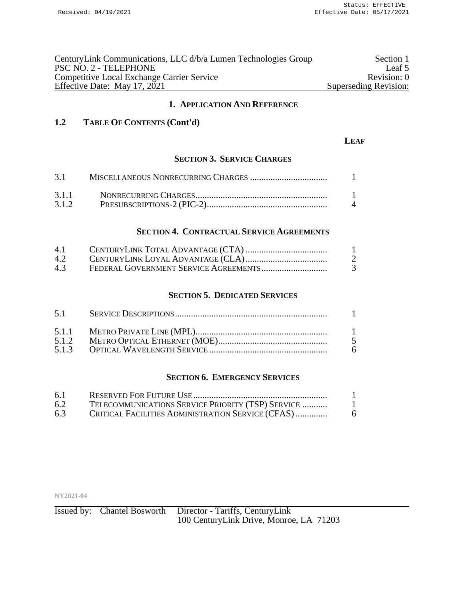| CenturyLink Communications, LLC d/b/a Lumen Technologies Group | Section 1             |
|----------------------------------------------------------------|-----------------------|
| PSC NO. 2 - TELEPHONE                                          | Leaf 5                |
| <b>Competitive Local Exchange Carrier Service</b>              | Revision: 0           |
| Effective Date: May 17, 2021                                   | Superseding Revision: |

# **1.2 TABLE OF CONTENTS (Cont'd)**

#### **LEAF**

## **SECTION 3. SERVICE CHARGES**

| 3.1   |                |
|-------|----------------|
|       |                |
| 3.1.2 | $\overline{4}$ |

#### **SECTION 4. CONTRACTUAL SERVICE AGREEMENTS**

| 4.1 |  |
|-----|--|
| 4.2 |  |
| 4.3 |  |

#### **SECTION 5. DEDICATED SERVICES**

| 5.1   |    |
|-------|----|
| 5.1.2 |    |
|       |    |
|       | -6 |

## **SECTION 6. EMERGENCY SERVICES**

| 6.1 |                                                   |   |
|-----|---------------------------------------------------|---|
| 6.2 | TELECOMMUNICATIONS SERVICE PRIORITY (TSP) SERVICE |   |
| 6.3 | CRITICAL FACILITIES ADMINISTRATION SERVICE (CFAS) | 6 |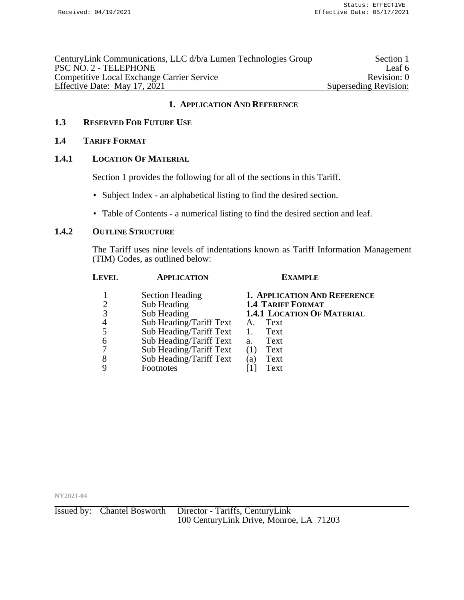| CenturyLink Communications, LLC d/b/a Lumen Technologies Group | Section 1             |
|----------------------------------------------------------------|-----------------------|
| PSC NO. 2 - TELEPHONE                                          | Leaf 6                |
| <b>Competitive Local Exchange Carrier Service</b>              | Revision: 0           |
| Effective Date: May 17, 2021                                   | Superseding Revision: |
|                                                                |                       |

## **1.3 RESERVED FOR FUTURE USE**

### **1.4 TARIFF FORMAT**

## **1.4.1 LOCATION OF MATERIAL**

Section 1 provides the following for all of the sections in this Tariff.

- Subject Index an alphabetical listing to find the desired section.
- Table of Contents a numerical listing to find the desired section and leaf.

## **1.4.2 OUTLINE STRUCTURE**

The Tariff uses nine levels of indentations known as Tariff Information Management (TIM) Codes, as outlined below:

| <b>APPLICATION</b>      | <b>EXAMPLE</b>                    |
|-------------------------|-----------------------------------|
| <b>Section Heading</b>  | 1. APPLICATION AND REFERENCE      |
| Sub Heading             | <b>1.4 TARIFF FORMAT</b>          |
| Sub Heading             | <b>1.4.1 LOCATION OF MATERIAL</b> |
| Sub Heading/Tariff Text | Text<br>A.                        |
| Sub Heading/Tariff Text | Text<br>1.                        |
| Sub Heading/Tariff Text | Text<br>a.                        |
| Sub Heading/Tariff Text | Text<br>(1)                       |
|                         | Text<br>$\left( a\right)$         |
| Footnotes               | Text                              |
|                         | Sub Heading/Tariff Text           |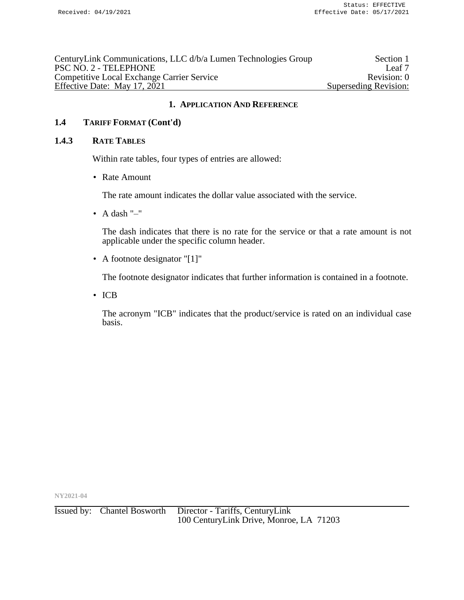| CenturyLink Communications, LLC d/b/a Lumen Technologies Group | Section 1             |
|----------------------------------------------------------------|-----------------------|
| PSC NO. 2 - TELEPHONE                                          | Leaf 7                |
| <b>Competitive Local Exchange Carrier Service</b>              | Revision: 0           |
| Effective Date: May 17, 2021                                   | Superseding Revision: |
|                                                                |                       |

# **1.4 TARIFF FORMAT (Cont'd)**

#### **1.4.3 RATE TABLES**

Within rate tables, four types of entries are allowed:

• Rate Amount

The rate amount indicates the dollar value associated with the service.

• A dash  $"$ -"

The dash indicates that there is no rate for the service or that a rate amount is not applicable under the specific column header.

• A footnote designator "[1]"

The footnote designator indicates that further information is contained in a footnote.

• ICB

The acronym "ICB" indicates that the product/service is rated on an individual case basis.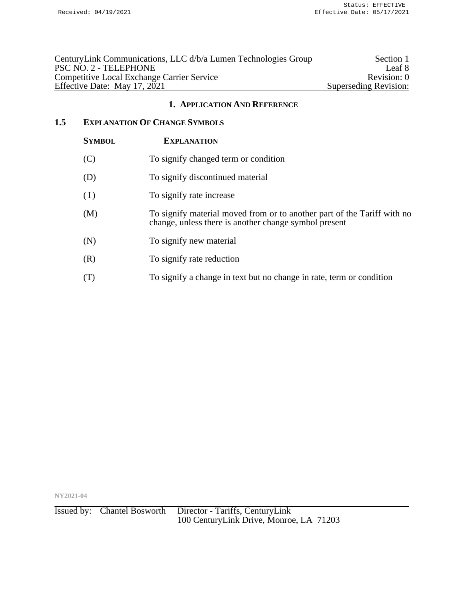| CenturyLink Communications, LLC d/b/a Lumen Technologies Group | Section 1             |
|----------------------------------------------------------------|-----------------------|
| PSC NO. 2 - TELEPHONE                                          | Leaf 8                |
| <b>Competitive Local Exchange Carrier Service</b>              | Revision: 0           |
| Effective Date: May 17, 2021                                   | Superseding Revision: |

# **1.5 EXPLANATION OF CHANGE SYMBOLS**

| <b>SYMBOL</b> | <b>EXPLANATION</b>                                                                                                               |
|---------------|----------------------------------------------------------------------------------------------------------------------------------|
| (C)           | To signify changed term or condition                                                                                             |
| (D)           | To signify discontinued material                                                                                                 |
| (I)           | To signify rate increase                                                                                                         |
| (M)           | To signify material moved from or to another part of the Tariff with no<br>change, unless there is another change symbol present |
| (N)           | To signify new material                                                                                                          |
| (R)           | To signify rate reduction                                                                                                        |
| (T)           | To signify a change in text but no change in rate, term or condition                                                             |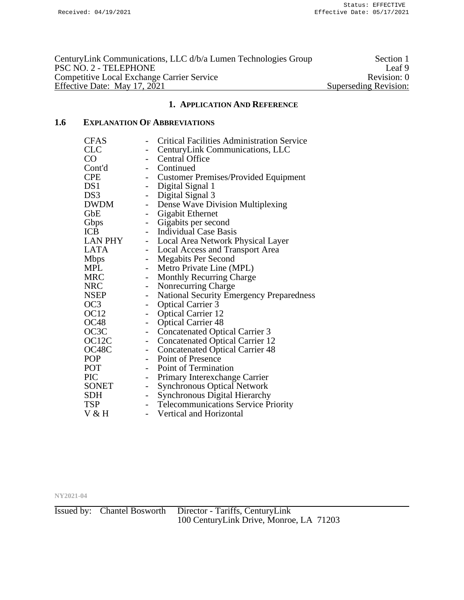| CenturyLink Communications, LLC d/b/a Lumen Technologies Group | Section 1             |
|----------------------------------------------------------------|-----------------------|
| PSC NO. 2 - TELEPHONE                                          | Leaf 9                |
| <b>Competitive Local Exchange Carrier Service</b>              | Revision: 0           |
| Effective Date: May 17, 2021                                   | Superseding Revision: |

# **1.6 EXPLANATION OF ABBREVIATIONS**

| <b>CFAS</b>        |                              | <b>Critical Facilities Administration Service</b> |
|--------------------|------------------------------|---------------------------------------------------|
| <b>CLC</b>         | -                            | CenturyLink Communications, LLC                   |
| CO <sub>2</sub>    | $\overline{\phantom{0}}$     | <b>Central Office</b>                             |
| Cont'd             | $\overline{\phantom{a}}$     | Continued                                         |
| <b>CPE</b>         |                              | Customer Premises/Provided Equipment              |
| DS1                | $\overline{\phantom{0}}$     | Digital Signal 1                                  |
| DS3                | $\overline{a}$               | Digital Signal 3                                  |
| <b>DWDM</b>        | $\qquad \qquad -$            | Dense Wave Division Multiplexing                  |
| GbE                | $\qquad \qquad \blacksquare$ | Gigabit Ethernet                                  |
| Gbps               |                              | Gigabits per second                               |
| <b>ICB</b>         | $\overline{\phantom{0}}$     | <b>Individual Case Basis</b>                      |
| LAN PHY            | $\qquad \qquad -$            | Local Area Network Physical Layer                 |
| <b>LATA</b>        | $\overline{\phantom{0}}$     | <b>Local Access and Transport Area</b>            |
| <b>Mbps</b>        | $\overline{\phantom{0}}$     | <b>Megabits Per Second</b>                        |
| <b>MPL</b>         |                              | Metro Private Line (MPL)                          |
| <b>MRC</b>         | $\overline{\phantom{0}}$     | <b>Monthly Recurring Charge</b>                   |
| <b>NRC</b>         | $\qquad \qquad -$            | Nonrecurring Charge                               |
| <b>NSEP</b>        | $\overline{\phantom{0}}$     | <b>National Security Emergency Preparedness</b>   |
| OC <sub>3</sub>    | $\qquad \qquad \blacksquare$ | <b>Optical Carrier 3</b>                          |
| OC <sub>12</sub>   |                              | <b>Optical Carrier 12</b>                         |
| OC <sub>48</sub>   | $\overline{\phantom{0}}$     | <b>Optical Carrier 48</b>                         |
| OC3C               | $\overline{a}$               | <b>Concatenated Optical Carrier 3</b>             |
| OC <sub>12</sub> C | $\qquad \qquad -$            | <b>Concatenated Optical Carrier 12</b>            |
| OC48C              | $\overline{\phantom{a}}$     | <b>Concatenated Optical Carrier 48</b>            |
| <b>POP</b>         |                              | Point of Presence                                 |
| POT                | $\overline{\phantom{0}}$     | Point of Termination                              |
| PIC                | $\overline{\phantom{0}}$     | Primary Interexchange Carrier                     |
| SONET              | $\qquad \qquad \blacksquare$ | <b>Synchronous Optical Network</b>                |
| <b>SDH</b>         | $\qquad \qquad \blacksquare$ | <b>Synchronous Digital Hierarchy</b>              |
| <b>TSP</b>         |                              | <b>Telecommunications Service Priority</b>        |
| V & H              |                              | Vertical and Horizontal                           |
|                    |                              |                                                   |